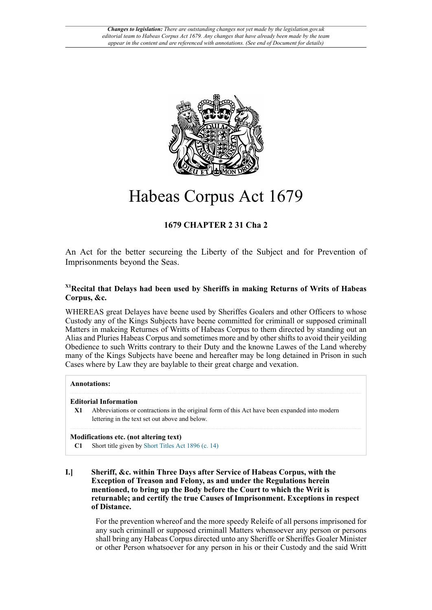

# Habeas Corpus Act 1679

# **1679 CHAPTER 2 31 Cha 2**

An Act for the better secureing the Liberty of the Subject and for Prevention of Imprisonments beyond the Seas.

# <span id="page-0-1"></span>**[X1](#page-0-0)Recital that Delays had been used by Sheriffs in making Returns of Writs of Habeas Corpus, &c.**

WHEREAS great Delayes have beene used by Sheriffes Goalers and other Officers to whose Custody any of the Kings Subjects have beene committed for criminall or supposed criminall Matters in makeing Returnes of Writts of Habeas Corpus to them directed by standing out an Alias and Pluries Habeas Corpus and sometimes more and by other shifts to avoid their yeilding Obedience to such Writts contrary to their Duty and the knowne Lawes of the Land whereby many of the Kings Subjects have beene and hereafter may be long detained in Prison in such Cases where by Law they are baylable to their great charge and vexation.

## **Annotations:**

## **Editorial Information**

<span id="page-0-0"></span>**[X1](#page-0-1)** Abbreviations or contractions in the original form of this Act have been expanded into modern lettering in the text set out above and below.

# **Modifications etc. (not altering text)**

- **C1** Short title given by [Short Titles Act 1896 \(c. 14\)](http://www.legislation.gov.uk/id/ukpga/1896/14)
- **I.] Sheriff, &c. within Three Days after Service of Habeas Corpus, with the Exception of Treason and Felony, as and under the Regulations herein mentioned, to bring up the Body before the Court to which the Writ is returnable; and certify the true Causes of Imprisonment. Exceptions in respect of Distance.**

For the prevention whereof and the more speedy Releife of all persons imprisoned for any such criminall or supposed criminall Matters whensoever any person or persons shall bring any Habeas Corpus directed unto any Sheriffe or Sheriffes Goaler Minister or other Person whatsoever for any person in his or their Custody and the said Writt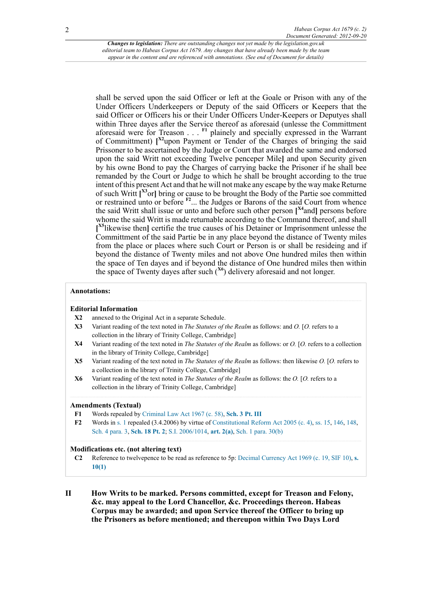<span id="page-1-13"></span><span id="page-1-12"></span><span id="page-1-9"></span><span id="page-1-8"></span><span id="page-1-7"></span>shall be served upon the said Officer or left at the Goale or Prison with any of the Under Officers Underkeepers or Deputy of the said Officers or Keepers that the said Officer or Officers his or their Under Officers Under-Keepers or Deputyes shall within Three dayes after the Service thereof as aforesaid (unlesse the Committment aforesaid were for Treason . . . **[F1](#page-1-0)** plainely and specially expressed in the Warrant of Committment) **[ [X2](#page-1-1)**upon Payment or Tender of the Charges of bringing the said Prissoner to be ascertained by the Judge or Court that awarded the same and endorsed upon the said Writt not exceeding Twelve penceper Mile**]** and upon Security given by his owne Bond to pay the Charges of carrying backe the Prisoner if he shall bee remanded by the Court or Judge to which he shall be brought according to the true intent of this present Act and that he will not make any escape by the way make Returne of such Writt **[ [X3](#page-1-2)**or**]** bring or cause to be brought the Body of the Partie soe committed or restrained unto or before **[F2](#page-1-3)**... the Judges or Barons of the said Court from whence the said Writt shall issue or unto and before such other person **[ [X4](#page-1-4)**and**]** persons before whome the said Writt is made returnable according to the Command thereof, and shall **[ [X5](#page-1-5)**likewise then**]** certifie the true causes of his Detainer or Imprisonment unlesse the Committment of the said Partie be in any place beyond the distance of Twenty miles from the place or places where such Court or Person is or shall be resideing and if beyond the distance of Twenty miles and not above One hundred miles then within the space of Ten dayes and if beyond the distance of One hundred miles then within the space of Twenty dayes after such (**[X6](#page-1-6)**) delivery aforesaid and not longer.

#### <span id="page-1-11"></span><span id="page-1-10"></span>**Annotations:**

#### **Editorial Information**

- <span id="page-1-1"></span>**[X2](#page-1-7)** annexed to the Original Act in a separate Schedule.
- <span id="page-1-2"></span>**[X3](#page-1-8)** Variant reading of the text noted in *The Statutes of the Realm* as follows: and *O.* [*O.* refers to a collection in the library of Trinity College, Cambridge]
- <span id="page-1-4"></span>**[X4](#page-1-9)** Variant reading of the text noted in *The Statutes of the Realm* as follows: or *O.* [*O.* refers to a collection in the library of Trinity College, Cambridge]
- <span id="page-1-5"></span>**[X5](#page-1-10)** Variant reading of the text noted in *The Statutes of the Realm* as follows: then likewise *O.* [*O.* refers to a collection in the library of Trinity College, Cambridge]
- <span id="page-1-6"></span>**[X6](#page-1-11)** Variant reading of the text noted in *The Statutes of the Realm* as follows: the *O.* [*O.* refers to a collection in the library of Trinity College, Cambridge]

#### **Amendments (Textual)**

- <span id="page-1-0"></span>**[F1](#page-1-12)** Words repealed by [Criminal Law Act 1967 \(c. 58\),](http://www.legislation.gov.uk/id/ukpga/1967/58) **[Sch. 3 Pt. III](http://www.legislation.gov.uk/id/ukpga/1967/58/schedule/3/part/III)**
- <span id="page-1-3"></span>**[F2](#page-1-13)** Words in [s. 1](http://www.legislation.gov.uk/id/aep/Cha2/31/2/section/1) repealed (3.4.2006) by virtue of [Constitutional Reform Act 2005 \(c. 4\)](http://www.legislation.gov.uk/id/ukpga/2005/4), [ss. 15](http://www.legislation.gov.uk/id/ukpga/2005/4/section/15), [146](http://www.legislation.gov.uk/id/ukpga/2005/4/section/146), [148](http://www.legislation.gov.uk/id/ukpga/2005/4/section/148), [Sch. 4 para. 3,](http://www.legislation.gov.uk/id/ukpga/2005/4/schedule/4/paragraph/3) **[Sch. 18 Pt. 2](http://www.legislation.gov.uk/id/ukpga/2005/4/schedule/18/part/2)**; [S.I. 2006/1014,](http://www.legislation.gov.uk/id/uksi/2006/1014) **[art. 2\(a\)](http://www.legislation.gov.uk/id/uksi/2006/1014/article/2/a)**, [Sch. 1 para. 30\(b\)](http://www.legislation.gov.uk/id/uksi/2006/1014/schedule/1/paragraph/30/b)

#### **Modifications etc. (not altering text)**

- **C2** Reference to twelvepence to be read as reference to 5p: [Decimal Currency Act 1969 \(c. 19, SIF 10\)](http://www.legislation.gov.uk/id/ukpga/1969/19), **[s.](http://www.legislation.gov.uk/id/ukpga/1969/19/section/10/1) [10\(1\)](http://www.legislation.gov.uk/id/ukpga/1969/19/section/10/1)**
- **II How Writs to be marked. Persons committed, except for Treason and Felony, &c. may appeal to the Lord Chancellor, &c. Proceedings thereon. Habeas Corpus may be awarded; and upon Service thereof the Officer to bring up the Prisoners as before mentioned; and thereupon within Two Days Lord**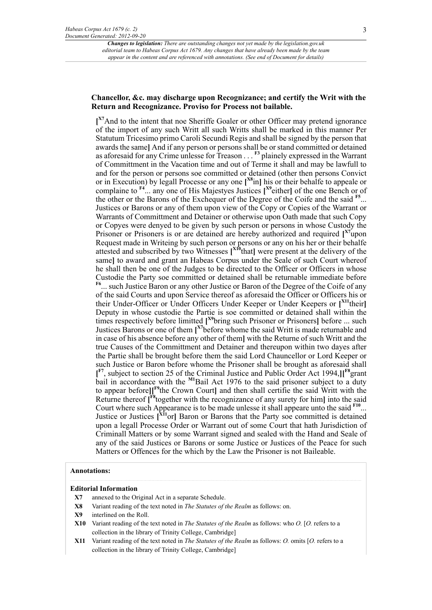## **Chancellor, &c. may discharge upon Recognizance; and certify the Writ with the Return and Recognizance. Proviso for Process not bailable.**

<span id="page-2-13"></span><span id="page-2-12"></span><span id="page-2-11"></span><span id="page-2-10"></span><span id="page-2-9"></span><span id="page-2-8"></span><span id="page-2-7"></span><span id="page-2-6"></span><span id="page-2-5"></span>**[ [X7](#page-2-0)**And to the intent that noe Sheriffe Goaler or other Officer may pretend ignorance of the import of any such Writt all such Writts shall be marked in this manner Per Statutum Tricesimo primo Caroli Secundi Regis and shall be signed by the person that awards the same**]** And if any person or persons shall be or stand committed or detained as aforesaid for any Crime unlesse for Treason . . . **[F3](#page-3-0)** plainely expressed in the Warrant of Committment in the Vacation time and out of Terme it shall and may be lawfull to and for the person or persons soe committed or detained (other then persons Convict or in Execution) by legall Processe or any one **[ [X8](#page-2-1)**in**]** his or their behalfe to appeale or complaine to **[F4](#page-3-1)**... any one of His Majestyes Justices **[ [X9](#page-2-2)**either**]** of the one Bench or of the other or the Barons of the Exchequer of the Degree of the Coife and the said **[F5](#page-3-2)** ... Justices or Barons or any of them upon view of the Copy or Copies of the Warrant or Warrants of Committment and Detainer or otherwise upon Oath made that such Copy or Copyes were denyed to be given by such person or persons in whose Custody the Prisoner or Prisoners is or are detained are hereby authorized and required [<sup>[X7](#page-2-0)</sup>upon Request made in Writeing by such person or persons or any on his her or their behalfe attested and subscribed by two Witnesses **[ [X10](#page-2-3)**that**]** were present at the delivery of the same**]** to award and grant an Habeas Corpus under the Seale of such Court whereof he shall then be one of the Judges to be directed to the Officer or Officers in whose Custodie the Party soe committed or detained shall be returnable immediate before **[F6](#page-3-3)**... such Justice Baron or any other Justice or Baron of the Degree of the Coife of any of the said Courts and upon Service thereof as aforesaid the Officer or Officers his or their Under-Officer or Under Officers Under Keeper or Under Keepers or **[ [X11](#page-2-4)**their**]** Deputy in whose custodie the Partie is soe committed or detained shall within the times respectively before limitted **[ [X9](#page-2-2)**bring such Prisoner or Prisoners**]** before ... such Justices Barons or one of them **[ [X7](#page-2-0)**before whome the said Writt is made returnable and in case of his absence before any other of them**]** with the Returne of such Writt and the true Causes of the Committment and Detainer and thereupon within two dayes after the Partie shall be brought before them the said Lord Chauncellor or Lord Keeper or such Justice or Baron before whome the Prisoner shall be brought as aforesaid shall **[ [F7](#page-3-4)**, subject to section 25 of the Criminal Justice and Public Order Act 1994,**][ [F8](#page-3-5)**grant bail in accordance with the <sup>[M1](#page-3-6)</sup>Bail Act 1976 to the said prisoner subject to a duty to appear before**][ [F9](#page-3-7)**the Crown Court**]** and then shall certifie the said Writt with the Returne thereof **[ [F8](#page-3-5)**together with the recognizance of any surety for him**]** into the said Court where such Appearance is to be made unlesse it shall appeare unto the said **[F10](#page-3-8)** ... Justice or Justices **[ [X11](#page-2-4)**or**]** Baron or Barons that the Party soe committed is detained upon a legall Processe Order or Warrant out of some Court that hath Jurisdiction of Criminall Matters or by some Warrant signed and sealed with the Hand and Seale of any of the said Justices or Barons or some Justice or Justices of the Peace for such Matters or Offences for the which by the Law the Prisoner is not Baileable.

## <span id="page-2-18"></span><span id="page-2-17"></span><span id="page-2-16"></span><span id="page-2-15"></span><span id="page-2-14"></span>**Annotations:**

#### **Editorial Information**

- <span id="page-2-0"></span>**[X7](#page-2-5)** annexed to the Original Act in a separate Schedule.
- <span id="page-2-1"></span>**[X8](#page-2-6)** Variant reading of the text noted in *The Statutes of the Realm* as follows: on.
- <span id="page-2-2"></span>**[X9](#page-2-7)** interlined on the Roll.
- <span id="page-2-3"></span>**[X10](#page-2-8)** Variant reading of the text noted in *The Statutes of the Realm* as follows: who *O.* [*O.* refers to a collection in the library of Trinity College, Cambridge]
- <span id="page-2-4"></span>**[X11](#page-2-9)** Variant reading of the text noted in *The Statutes of the Realm* as follows: *O.* omits [*O.* refers to a collection in the library of Trinity College, Cambridge]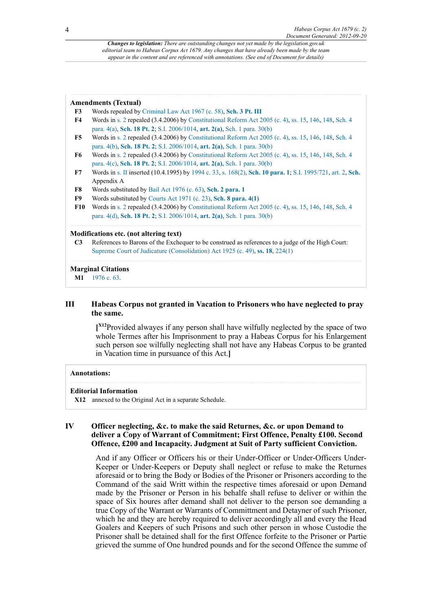# <span id="page-3-4"></span><span id="page-3-3"></span><span id="page-3-2"></span><span id="page-3-1"></span><span id="page-3-0"></span>**[F4](#page-2-11)** Words in [s. 2](http://www.legislation.gov.uk/id/aep/Cha2/31/2/section/2) repealed (3.4.2006) by [Constitutional Reform Act 2005 \(c. 4\)](http://www.legislation.gov.uk/id/ukpga/2005/4), [ss. 15](http://www.legislation.gov.uk/id/ukpga/2005/4/section/15), [146](http://www.legislation.gov.uk/id/ukpga/2005/4/section/146), [148](http://www.legislation.gov.uk/id/ukpga/2005/4/section/148), [Sch. 4](http://www.legislation.gov.uk/id/ukpga/2005/4/schedule/4/paragraph/4/a) [para. 4\(a\)](http://www.legislation.gov.uk/id/ukpga/2005/4/schedule/4/paragraph/4/a), **[Sch. 18 Pt. 2](http://www.legislation.gov.uk/id/ukpga/2005/4/schedule/18/part/2)**; [S.I. 2006/1014,](http://www.legislation.gov.uk/id/uksi/2006/1014) **[art. 2\(a\)](http://www.legislation.gov.uk/id/uksi/2006/1014/article/2/a)**, [Sch. 1 para. 30\(b\)](http://www.legislation.gov.uk/id/uksi/2006/1014/schedule/1/paragraph/30/b) **[F5](#page-2-12)** Words in [s. 2](http://www.legislation.gov.uk/id/aep/Cha2/31/2/section/2) repealed (3.4.2006) by [Constitutional Reform Act 2005 \(c. 4\)](http://www.legislation.gov.uk/id/ukpga/2005/4), [ss. 15](http://www.legislation.gov.uk/id/ukpga/2005/4/section/15), [146](http://www.legislation.gov.uk/id/ukpga/2005/4/section/146), [148](http://www.legislation.gov.uk/id/ukpga/2005/4/section/148), [Sch. 4](http://www.legislation.gov.uk/id/ukpga/2005/4/schedule/4/paragraph/4/b) [para. 4\(b\),](http://www.legislation.gov.uk/id/ukpga/2005/4/schedule/4/paragraph/4/b) **[Sch. 18 Pt. 2](http://www.legislation.gov.uk/id/ukpga/2005/4/schedule/18/part/2)**; [S.I. 2006/1014](http://www.legislation.gov.uk/id/uksi/2006/1014), **[art. 2\(a\)](http://www.legislation.gov.uk/id/uksi/2006/1014/article/2/a)**, [Sch. 1 para. 30\(b\)](http://www.legislation.gov.uk/id/uksi/2006/1014/schedule/1/paragraph/30/b) **[F6](#page-2-13)** Words in [s. 2](http://www.legislation.gov.uk/id/aep/Cha2/31/2/section/2) repealed (3.4.2006) by [Constitutional Reform Act 2005 \(c. 4\)](http://www.legislation.gov.uk/id/ukpga/2005/4), [ss. 15](http://www.legislation.gov.uk/id/ukpga/2005/4/section/15), [146](http://www.legislation.gov.uk/id/ukpga/2005/4/section/146), [148](http://www.legislation.gov.uk/id/ukpga/2005/4/section/148), [Sch. 4](http://www.legislation.gov.uk/id/ukpga/2005/4/schedule/4/paragraph/4/c) [para. 4\(c\)](http://www.legislation.gov.uk/id/ukpga/2005/4/schedule/4/paragraph/4/c), **[Sch. 18 Pt. 2](http://www.legislation.gov.uk/id/ukpga/2005/4/schedule/18/part/2)**; [S.I. 2006/1014,](http://www.legislation.gov.uk/id/uksi/2006/1014) **[art. 2\(a\)](http://www.legislation.gov.uk/id/uksi/2006/1014/article/2/a)**, [Sch. 1 para. 30\(b\)](http://www.legislation.gov.uk/id/uksi/2006/1014/schedule/1/paragraph/30/b) **[F7](#page-2-14)** Words in [s. II](http://www.legislation.gov.uk/id/aep/Cha2/31/2/section/II) inserted (10.4.1995) by [1994 c. 33,](http://www.legislation.gov.uk/id/ukpga/1994/33) [s. 168\(2\)](http://www.legislation.gov.uk/id/ukpga/1994/33/section/168/2), **[Sch. 10 para. 1](http://www.legislation.gov.uk/id/ukpga/1994/33/schedule/10/paragraph/1)**; [S.I. 1995/721,](http://www.legislation.gov.uk/id/uksi/1995/721) [art. 2,](http://www.legislation.gov.uk/id/uksi/1995/721/article/2) **[Sch.](http://www.legislation.gov.uk/id/uksi/1995/721/schedule)** Appendix A **[F8](#page-2-15)** Words substituted by [Bail Act 1976 \(c. 63\),](http://www.legislation.gov.uk/id/ukpga/1976/63) **[Sch. 2 para. 1](http://www.legislation.gov.uk/id/ukpga/1976/63/schedule/2/paragraph/1) [F9](#page-2-16)** Words substituted by [Courts Act 1971 \(c. 23\),](http://www.legislation.gov.uk/id/ukpga/1971/23) **[Sch. 8 para. 4\(1\)](http://www.legislation.gov.uk/id/ukpga/1971/23/schedule/8/paragraph/4/1) [F10](#page-2-17)** Words in [s. 2](http://www.legislation.gov.uk/id/aep/Cha2/31/2/section/2) repealed (3.4.2006) by [Constitutional Reform Act 2005 \(c. 4\)](http://www.legislation.gov.uk/id/ukpga/2005/4), [ss. 15](http://www.legislation.gov.uk/id/ukpga/2005/4/section/15), [146](http://www.legislation.gov.uk/id/ukpga/2005/4/section/146), [148](http://www.legislation.gov.uk/id/ukpga/2005/4/section/148), [Sch. 4](http://www.legislation.gov.uk/id/ukpga/2005/4/schedule/4/paragraph/4/d) [para. 4\(d\),](http://www.legislation.gov.uk/id/ukpga/2005/4/schedule/4/paragraph/4/d) **[Sch. 18 Pt. 2](http://www.legislation.gov.uk/id/ukpga/2005/4/schedule/18/part/2)**; [S.I. 2006/1014](http://www.legislation.gov.uk/id/uksi/2006/1014), **[art. 2\(a\)](http://www.legislation.gov.uk/id/uksi/2006/1014/article/2/a)**, [Sch. 1 para. 30\(b\)](http://www.legislation.gov.uk/id/uksi/2006/1014/schedule/1/paragraph/30/b) **Modifications etc. (not altering text)**

**[F3](#page-2-10)** Words repealed by [Criminal Law Act 1967 \(c. 58\),](http://www.legislation.gov.uk/id/ukpga/1967/58) **[Sch. 3 Pt. III](http://www.legislation.gov.uk/id/ukpga/1967/58/schedule/3/part/III)**

<span id="page-3-8"></span><span id="page-3-7"></span><span id="page-3-5"></span>**C3** References to Barons of the Exchequer to be construed as references to a judge of the High Court: [Supreme Court of Judicature \(Consolidation\) Act 1925 \(c. 49\)](http://www.legislation.gov.uk/id/ukpga/1925/49), **[ss. 18](http://www.legislation.gov.uk/id/ukpga/1925/49/section/18)**, [224\(1\)](http://www.legislation.gov.uk/id/ukpga/1925/49/section/224/1)

## **Marginal Citations**

<span id="page-3-6"></span>**[M1](#page-2-18)** [1976 c. 63](http://www.legislation.gov.uk/id/ukpga/1976/63).

**Amendments (Textual)**

# **III Habeas Corpus not granted in Vacation to Prisoners who have neglected to pray the same.**

<span id="page-3-10"></span>**[ [X12](#page-3-9)**Provided alwayes if any person shall have wilfully neglected by the space of two whole Termes after his Imprisonment to pray a Habeas Corpus for his Enlargement such person soe wilfully neglecting shall not have any Habeas Corpus to be granted in Vacation time in pursuance of this Act.**]**

## **Annotations:**

#### **Editorial Information**

<span id="page-3-9"></span>**[X12](#page-3-10)** annexed to the Original Act in a separate Schedule.

# **IV Officer neglecting, &c. to make the said Returnes, &c. or upon Demand to deliver a Copy of Warrant of Commitment; First Offence, Penalty £100. Second Offence, £200 and Incapacity. Judgment at Suit of Party sufficient Conviction.**

And if any Officer or Officers his or their Under-Officer or Under-Officers Under-Keeper or Under-Keepers or Deputy shall neglect or refuse to make the Returnes aforesaid or to bring the Body or Bodies of the Prisoner or Prisoners according to the Command of the said Writt within the respective times aforesaid or upon Demand made by the Prisoner or Person in his behalfe shall refuse to deliver or within the space of Six houres after demand shall not deliver to the person soe demanding a true Copy of the Warrant or Warrants of Committment and Detayner of such Prisoner, which he and they are hereby required to deliver accordingly all and every the Head Goalers and Keepers of such Prisons and such other person in whose Custodie the Prisoner shall be detained shall for the first Offence forfeite to the Prisoner or Partie grieved the summe of One hundred pounds and for the second Offence the summe of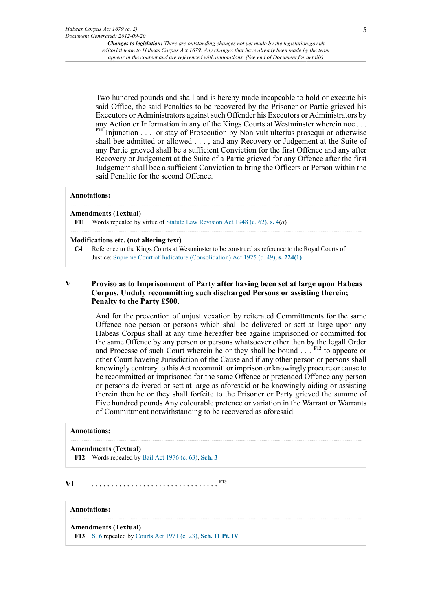<span id="page-4-1"></span>Two hundred pounds and shall and is hereby made incapeable to hold or execute his said Office, the said Penalties to be recovered by the Prisoner or Partie grieved his Executors or Administrators against such Offender his Executors or Administrators by any Action or Information in any of the Kings Courts at Westminster wherein noe . . . **[F11](#page-4-0)** Injunction . . . or stay of Prosecution by Non vult ulterius prosequi or otherwise shall bee admitted or allowed . . . , and any Recovery or Judgement at the Suite of any Partie grieved shall be a sufficient Conviction for the first Offence and any after Recovery or Judgement at the Suite of a Partie grieved for any Offence after the first Judgement shall bee a sufficient Conviction to bring the Officers or Person within the said Penaltie for the second Offence.

#### **Annotations:**

#### **Amendments (Textual)**

<span id="page-4-0"></span>**[F11](#page-4-1)** Words repealed by virtue of [Statute Law Revision Act 1948 \(c. 62\),](http://www.legislation.gov.uk/id/ukpga/1948/62) **[s. 4](http://www.legislation.gov.uk/id/ukpga/1948/62/section/4)**(*a*)

## **Modifications etc. (not altering text)**

**C4** Reference to the Kings Courts at Westminster to be construed as reference to the Royal Courts of Justice: [Supreme Court of Judicature \(Consolidation\) Act 1925 \(c. 49\),](http://www.legislation.gov.uk/id/ukpga/1925/49) **[s. 224\(1\)](http://www.legislation.gov.uk/id/ukpga/1925/49/section/224/1)**

## **V Proviso as to Imprisonment of Party after having been set at large upon Habeas Corpus. Unduly recommitting such discharged Persons or assisting therein; Penalty to the Party £500.**

<span id="page-4-3"></span>And for the prevention of unjust vexation by reiterated Committments for the same Offence noe person or persons which shall be delivered or sett at large upon any Habeas Corpus shall at any time hereafter bee againe imprisoned or committed for the same Offence by any person or persons whatsoever other then by the legall Order and Processe of such Court wherein he or they shall be bound . . . **[F12](#page-4-2)** to appeare or other Court haveing Jurisdiction of the Cause and if any other person or persons shall knowingly contrary to this Act recommitt or imprison or knowingly procure or cause to be recommitted or imprisoned for the same Offence or pretended Offence any person or persons delivered or sett at large as aforesaid or be knowingly aiding or assisting therein then he or they shall forfeite to the Prisoner or Party grieved the summe of Five hundred pounds Any colourable pretence or variation in the Warrant or Warrants of Committment notwithstanding to be recovered as aforesaid.

## **Annotations:**

#### **Amendments (Textual)**

<span id="page-4-5"></span><span id="page-4-2"></span>**[F12](#page-4-3)** Words repealed by [Bail Act 1976 \(c. 63\)](http://www.legislation.gov.uk/id/ukpga/1976/63), **[Sch. 3](http://www.legislation.gov.uk/id/ukpga/1976/63/schedule/3)**

**VI . . . . . . . . . . . . . . . . . . . . . . . . . . . . . . . . [F13](#page-4-4)**

## **Annotations:**

# **Amendments (Textual)**

<span id="page-4-4"></span>**[F13](#page-4-5)** [S. 6](http://www.legislation.gov.uk/id/aep/Cha2/31/2/section/6) repealed by [Courts Act 1971 \(c. 23\)](http://www.legislation.gov.uk/id/ukpga/1971/23), **[Sch. 11 Pt. IV](http://www.legislation.gov.uk/id/ukpga/1971/23/schedule/11/part/IV)**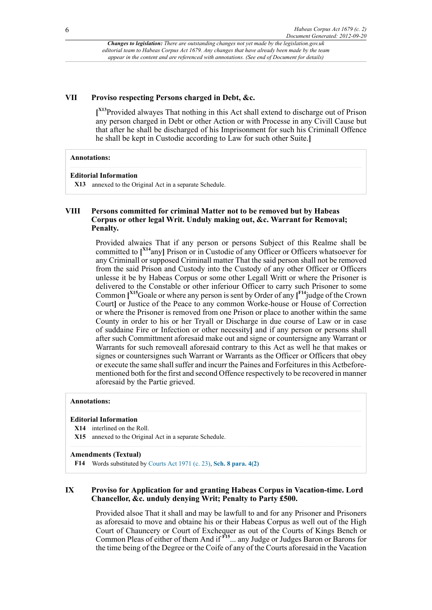## **VII Proviso respecting Persons charged in Debt, &c.**

<span id="page-5-1"></span>**[ [X13](#page-5-0)**Provided alwayes That nothing in this Act shall extend to discharge out of Prison any person charged in Debt or other Action or with Processe in any Civill Cause but that after he shall be discharged of his Imprisonment for such his Criminall Offence he shall be kept in Custodie according to Law for such other Suite.**]**

#### **Annotations:**

#### **Editorial Information**

<span id="page-5-0"></span>**[X13](#page-5-1)** annexed to the Original Act in a separate Schedule.

# **VIII Persons committed for criminal Matter not to be removed but by Habeas Corpus or other legal Writ. Unduly making out, &c. Warrant for Removal; Penalty.**

<span id="page-5-7"></span><span id="page-5-6"></span><span id="page-5-5"></span>Provided alwaies That if any person or persons Subject of this Realme shall be committed to **[ [X14](#page-5-2)**any**]** Prison or in Custodie of any Officer or Officers whatsoever for any Criminall or supposed Criminall matter That the said person shall not be removed from the said Prison and Custody into the Custody of any other Officer or Officers unlesse it be by Habeas Corpus or some other Legall Writt or where the Prisoner is delivered to the Constable or other inferiour Officer to carry such Prisoner to some Common **[ [X15](#page-5-3)**Goale or where any person is sent by Order of any **[ [F14](#page-5-4)**judge of the Crown Court**]** or Justice of the Peace to any common Worke-house or House of Correction or where the Prisoner is removed from one Prison or place to another within the same County in order to his or her Tryall or Discharge in due course of Law or in case of suddaine Fire or Infection or other necessity**]** and if any person or persons shall after such Committment aforesaid make out and signe or countersigne any Warrant or Warrants for such removeall aforesaid contrary to this Act as well he that makes or signes or countersignes such Warrant or Warrants as the Officer or Officers that obey or execute the same shall suffer and incurr the Paines and Forfeitures in this Actbeforementioned both for the first and second Offence respectively to be recovered in manner aforesaid by the Partie grieved.

#### **Annotations:**

## **Editorial Information**

#### <span id="page-5-2"></span>**[X14](#page-5-5)** interlined on the Roll.

<span id="page-5-3"></span>**[X15](#page-5-6)** annexed to the Original Act in a separate Schedule.

#### **Amendments (Textual)**

<span id="page-5-4"></span>**[F14](#page-5-7)** Words substituted by [Courts Act 1971 \(c. 23\),](http://www.legislation.gov.uk/id/ukpga/1971/23) **[Sch. 8 para. 4\(2\)](http://www.legislation.gov.uk/id/ukpga/1971/23/schedule/8/paragraph/4/2)**

# **IX Proviso for Application for and granting Habeas Corpus in Vacation-time. Lord Chancellor, &c. unduly denying Writ; Penalty to Party £500.**

<span id="page-5-8"></span>Provided alsoe That it shall and may be lawfull to and for any Prisoner and Prisoners as aforesaid to move and obtaine his or their Habeas Corpus as well out of the High Court of Chauncery or Court of Exchequer as out of the Courts of Kings Bench or Common Pleas of either of them And if **[F15](#page-6-0)**... any Judge or Judges Baron or Barons for the time being of the Degree or the Coife of any of the Courts aforesaid in the Vacation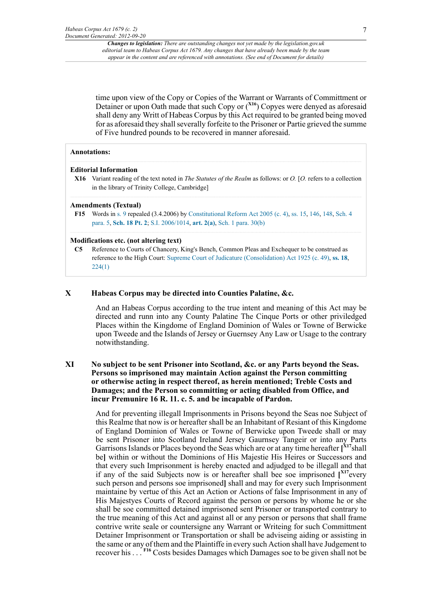<span id="page-6-2"></span>time upon view of the Copy or Copies of the Warrant or Warrants of Committment or Detainer or upon Oath made that such Copy or (**[X16](#page-6-1)**) Copyes were denyed as aforesaid shall deny any Writt of Habeas Corpus by this Act required to be granted being moved for as aforesaid they shall severally forfeite to the Prisoner or Partie grieved the summe of Five hundred pounds to be recovered in manner aforesaid.

#### **Annotations:**

## **Editorial Information**

<span id="page-6-1"></span>**[X16](#page-6-2)** Variant reading of the text noted in *The Statutes of the Realm* as follows: or *O.* [*O.* refers to a collection in the library of Trinity College, Cambridge]

#### **Amendments (Textual)**

<span id="page-6-0"></span>**[F15](#page-5-8)** Words in [s. 9](http://www.legislation.gov.uk/id/aep/Cha2/31/2/section/9) repealed (3.4.2006) by [Constitutional Reform Act 2005 \(c. 4\)](http://www.legislation.gov.uk/id/ukpga/2005/4), [ss. 15](http://www.legislation.gov.uk/id/ukpga/2005/4/section/15), [146](http://www.legislation.gov.uk/id/ukpga/2005/4/section/146), [148](http://www.legislation.gov.uk/id/ukpga/2005/4/section/148), [Sch. 4](http://www.legislation.gov.uk/id/ukpga/2005/4/schedule/4/paragraph/5) [para. 5](http://www.legislation.gov.uk/id/ukpga/2005/4/schedule/4/paragraph/5), **[Sch. 18 Pt. 2](http://www.legislation.gov.uk/id/ukpga/2005/4/schedule/18/part/2)**; [S.I. 2006/1014,](http://www.legislation.gov.uk/id/uksi/2006/1014) **[art. 2\(a\)](http://www.legislation.gov.uk/id/uksi/2006/1014/article/2/a)**, [Sch. 1 para. 30\(b\)](http://www.legislation.gov.uk/id/uksi/2006/1014/schedule/1/paragraph/30/b)

## **Modifications etc. (not altering text)**

**C5** Reference to Courts of Chancery, King's Bench, Common Pleas and Exchequer to be construed as reference to the High Court: [Supreme Court of Judicature \(Consolidation\) Act 1925 \(c. 49\),](http://www.legislation.gov.uk/id/ukpga/1925/49) **[ss. 18](http://www.legislation.gov.uk/id/ukpga/1925/49/section/18)**, [224\(1\)](http://www.legislation.gov.uk/id/ukpga/1925/49/section/224/1)

#### **X Habeas Corpus may be directed into Counties Palatine, &c.**

And an Habeas Corpus according to the true intent and meaning of this Act may be directed and runn into any County Palatine The Cinque Ports or other priviledged Places within the Kingdome of England Dominion of Wales or Towne of Berwicke upon Tweede and the Islands of Jersey or Guernsey Any Law or Usage to the contrary notwithstanding.

# **XI No subject to be sent Prisoner into Scotland, &c. or any Parts beyond the Seas. Persons so imprisoned may maintain Action against the Person committing or otherwise acting in respect thereof, as herein mentioned; Treble Costs and Damages; and the Person so committing or acting disabled from Office, and incur Premunire 16 R. 11. c. 5. and be incapable of Pardon.**

<span id="page-6-4"></span><span id="page-6-3"></span>And for preventing illegall Imprisonments in Prisons beyond the Seas noe Subject of this Realme that now is or hereafter shall be an Inhabitant of Resiant of this Kingdome of England Dominion of Wales or Towne of Berwicke upon Tweede shall or may be sent Prisoner into Scotland Ireland Jersey Gaurnsey Tangeir or into any Parts Garrisons Islands or Places beyond the Seas which are or at any time hereafter **[ [X17](#page-7-0)**shall be**]** within or without the Dominions of His Majestie His Heires or Successors and that every such Imprisonment is hereby enacted and adjudged to be illegall and that if any of the said Subjects now is or hereafter shall bee soe imprisoned **[ [X17](#page-7-0)**every such person and persons soe imprisoned**]** shall and may for every such Imprisonment maintaine by vertue of this Act an Action or Actions of false Imprisonment in any of His Majestyes Courts of Record against the person or persons by whome he or she shall be soe committed detained imprisoned sent Prisoner or transported contrary to the true meaning of this Act and against all or any person or persons that shall frame contrive write seale or countersigne any Warrant or Writeing for such Committment Detainer Imprisonment or Transportation or shall be adviseing aiding or assisting in the same or any of them and the Plaintiffe in every such Action shall have Judgement to recover his . . . **[F16](#page-7-1)** Costs besides Damages which Damages soe to be given shall not be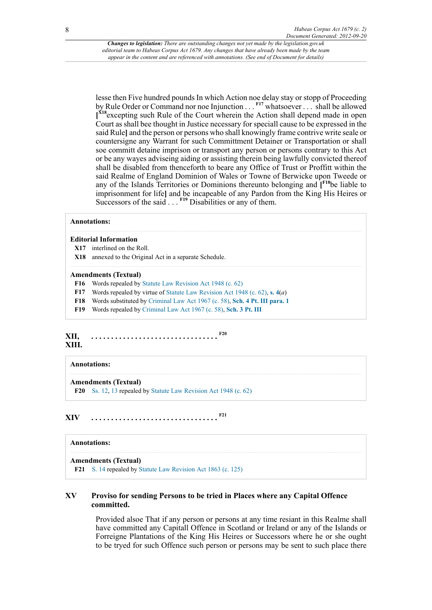<span id="page-7-8"></span><span id="page-7-7"></span><span id="page-7-6"></span>lesse then Five hundred pounds In which Action noe delay stay or stopp of Proceeding by Rule Order or Command nor noe Injunction . . . **[F17](#page-7-2)** whatsoever . . . shall be allowed **[ [X18](#page-7-3)**excepting such Rule of the Court wherein the Action shall depend made in open Court as shall bee thought in Justice necessary for speciall cause to be expressed in the said Rule**]** and the person or persons who shall knowingly frame contrive write seale or countersigne any Warrant for such Committment Detainer or Transportation or shall soe committ detaine imprison or transport any person or persons contrary to this Act or be any wayes adviseing aiding or assisting therein being lawfully convicted thereof shall be disabled from thenceforth to beare any Office of Trust or Proffitt within the said Realme of England Dominion of Wales or Towne of Berwicke upon Tweede or any of the Islands Territories or Dominions thereunto belonging and **[ [F18](#page-7-4)**be liable to imprisonment for life**]** and be incapeable of any Pardon from the King His Heires or Successors of the said . . . **[F19](#page-7-5)** Disabilities or any of them.

#### <span id="page-7-9"></span>**Annotations:**

#### **Editorial Information**

- <span id="page-7-0"></span>**[X17](#page-6-3)** interlined on the Roll.
- <span id="page-7-3"></span>**[X18](#page-7-6)** annexed to the Original Act in a separate Schedule.

#### **Amendments (Textual)**

- <span id="page-7-1"></span>**[F16](#page-6-4)** Words repealed by [Statute Law Revision Act 1948 \(c. 62\)](http://www.legislation.gov.uk/id/ukpga/1948/62)
- <span id="page-7-2"></span>**[F17](#page-7-7)** Words repealed by virtue of [Statute Law Revision Act 1948 \(c. 62\),](http://www.legislation.gov.uk/id/ukpga/1948/62) **[s. 4](http://www.legislation.gov.uk/id/ukpga/1948/62/section/4)**(*a*)
- <span id="page-7-4"></span>**[F18](#page-7-8)** Words substituted by [Criminal Law Act 1967 \(c. 58\)](http://www.legislation.gov.uk/id/ukpga/1967/58), **[Sch. 4 Pt. III para. 1](http://www.legislation.gov.uk/id/ukpga/1967/58/schedule/4/part/III/paragraph/1)**
- <span id="page-7-11"></span><span id="page-7-5"></span>**[F19](#page-7-9)** Words repealed by [Criminal Law Act 1967 \(c. 58\),](http://www.legislation.gov.uk/id/ukpga/1967/58) **[Sch. 3 Pt. III](http://www.legislation.gov.uk/id/ukpga/1967/58/schedule/3/part/III)**

#### **XII, XIII. . . . . . . . . . . . . . . . . . . . . . . . . . . . . . . . . [F20](#page-7-10)**

#### **Annotations:**

#### **Amendments (Textual)**

<span id="page-7-13"></span><span id="page-7-10"></span>**[F20](#page-7-11)** [Ss. 12,](http://www.legislation.gov.uk/id/aep/Cha2/31/2/section/12) [13](http://www.legislation.gov.uk/id/aep/Cha2/31/2/section/13) repealed by [Statute Law Revision Act 1948 \(c. 62\)](http://www.legislation.gov.uk/id/ukpga/1948/62)

**XIV . . . . . . . . . . . . . . . . . . . . . . . . . . . . . . . . [F21](#page-7-12)**

#### **Annotations:**

#### **Amendments (Textual)**

<span id="page-7-12"></span>**[F21](#page-7-13)** [S. 14](http://www.legislation.gov.uk/id/aep/Cha2/31/2/section/14) repealed by [Statute Law Revision Act 1863 \(c. 125\)](http://www.legislation.gov.uk/id/ukpga/1863/125)

# **XV Proviso for sending Persons to be tried in Places where any Capital Offence committed.**

Provided alsoe That if any person or persons at any time resiant in this Realme shall have committed any Capitall Offence in Scotland or Ireland or any of the Islands or Forreigne Plantations of the King His Heires or Successors where he or she ought to be tryed for such Offence such person or persons may be sent to such place there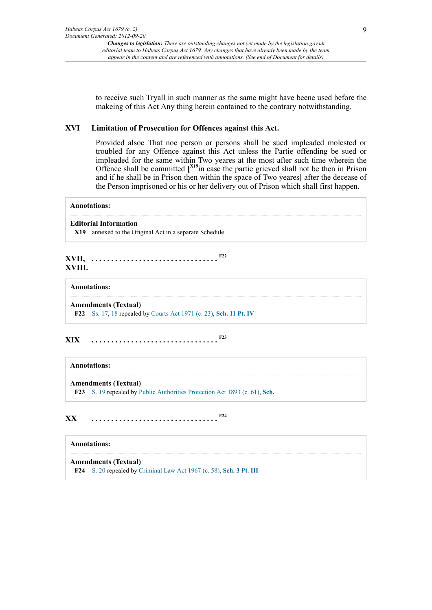to receive such Tryall in such manner as the same might have beene used before the makeing of this Act Any thing herein contained to the contrary notwithstanding.

#### **XVI Limitation of Prosecution for Offences against this Act.**

<span id="page-8-1"></span>Provided alsoe That noe person or persons shall be sued impleaded molested or troubled for any Offence against this Act unless the Partie offending be sued or impleaded for the same within Two yeares at the most after such time wherein the Offence shall be committed **[ [X19](#page-8-0)**in case the partie grieved shall not be then in Prison and if he shall be in Prison then within the space of Two yeares**]** after the decease of the Person imprisoned or his or her delivery out of Prison which shall first happen.

## **Annotations:**

#### **Editorial Information**

<span id="page-8-3"></span><span id="page-8-0"></span>**[X19](#page-8-1)** annexed to the Original Act in a separate Schedule.

# **XVII, . . . . . . . . . . . . . . . . . . . . . . . . . . . . . . . . [F22](#page-8-2) XVIII.**

## **Annotations:**

<span id="page-8-2"></span>**Amendments (Textual) [F22](#page-8-3)** [Ss. 17,](http://www.legislation.gov.uk/id/aep/Cha2/31/2/section/17) [18](http://www.legislation.gov.uk/id/aep/Cha2/31/2/section/18) repealed by [Courts Act 1971 \(c. 23\),](http://www.legislation.gov.uk/id/ukpga/1971/23) **[Sch. 11 Pt. IV](http://www.legislation.gov.uk/id/ukpga/1971/23/schedule/11/part/IV)**

# **XIX . . . . . . . . . . . . . . . . . . . . . . . . . . . . . . . . [F23](#page-8-4)**

#### <span id="page-8-5"></span>**Annotations:**

#### **Amendments (Textual)**

<span id="page-8-7"></span><span id="page-8-4"></span>**[F23](#page-8-5)** [S. 19](http://www.legislation.gov.uk/id/aep/Cha2/31/2/section/19) repealed by [Public Authorities Protection Act 1893 \(c. 61\),](http://www.legislation.gov.uk/id/ukpga/1893/61) **[Sch.](http://www.legislation.gov.uk/id/ukpga/1893/61/schedule)**

# **XX . . . . . . . . . . . . . . . . . . . . . . . . . . . . . . . . [F24](#page-8-6)**

#### **Annotations:**

**Amendments (Textual)**

<span id="page-8-6"></span>**[F24](#page-8-7)** [S. 20](http://www.legislation.gov.uk/id/aep/Cha2/31/2/section/20) repealed by [Criminal Law Act 1967 \(c. 58\),](http://www.legislation.gov.uk/id/ukpga/1967/58) **[Sch. 3 Pt. III](http://www.legislation.gov.uk/id/ukpga/1967/58/schedule/3/part/III)**